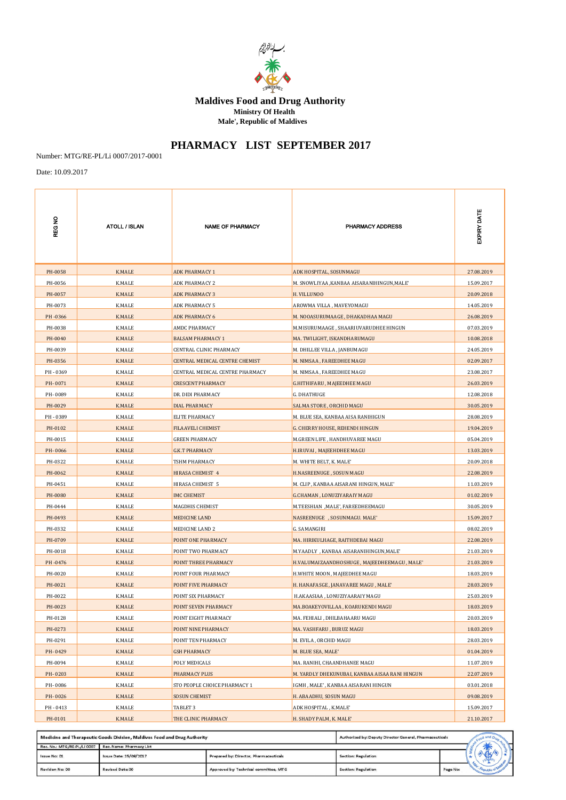

### **Maldives Food and Drug Authority Ministry Of Health Male', Republic of Maldives**

### **PHARMACY LIST SEPTEMBER 2017**

Number: MTG/RE-PL/Li 0007/2017-0001

Date: 10.09.2017

| <b>REG NO</b> | <b>ATOLL / ISLAN</b> | <b>NAME OF PHARMACY</b>         | PHARMACY ADDRESS                               | EXPIRY DATE |
|---------------|----------------------|---------------------------------|------------------------------------------------|-------------|
| PH-0058       | K.MALE               | <b>ADK PHARMACY 1</b>           | ADK HOSPITAL, SOSUNMAGU                        | 27.08.2019  |
| PH-0056       | K.MALE               | ADK PHARMACY 2                  | M. SNOWLIYAA , KANBAA AISARANIHINGUN, MALE'    | 15.09.2017  |
| PH-0057       | K.MALE               | <b>ADK PHARMACY 3</b>           | H. VILLUNOO                                    | 20.09.2018  |
| PH-0073       | K.MALE               | ADK PHARMACY 5                  | AROWMA VILLA, MAVEYOMAGU                       | 14.05.2019  |
| PH-0366       | K.MALE               | <b>ADK PHARMACY 6</b>           | M. NOOASURUMAAGE, DHAKADHAA MAGU               | 26.08.2019  |
| PH-0038       | K.MALE               | AMDC PHARMACY                   | M.MISURUMAAGE, SHAARIUVARUDHEE HINGUN          | 07.03.2019  |
| PH-0040       | K.MALE               | <b>BALSAM PHARMACY 1</b>        | MA. TWILIGHT, ISKANDHARUMAGU                   | 10.08.2018  |
| PH-0039       | K.MALE               | CENTRAL CLINIC PHARMACY         | M. DHILLEE VILLA, JANBUMAGU                    | 24.05.2019  |
| PH-0356       | K.MALE               | CENTRAL MEDICAL CENTRE CHEMIST  | M. NIMSAA, FAREEDHEE MAGU                      | 02.09.2017  |
| PH - 0369     | K.MALE               | CENTRAL MEDICAL CENTRE PHARMACY | M. NIMSAA, FAREEDHEE MAGU                      | 23.08.2017  |
| PH-0071       | K.MALE               | <b>CRESCENT PHARMACY</b>        | <b>G.HITHIFARU, MAJEEDHEE MAGU</b>             | 26.03.2019  |
| PH-0089       | K.MALE               | DR. DIDI PHARMACY               | <b>G. DHATHUGE</b>                             | 12.08.2018  |
| PH-0029       | K.MALE               | DIAL PHARMACY                   | SALMA STORE, ORCHID MAGU                       | 30.05.2019  |
| PH - 0389     | K.MALE               | ELITE PHARMACY                  | M. BLUE SEA, KANBAA AISA RANIHIGUN             | 28.08.2019  |
| PH-0102       | K.MALE               | <b>FILAAVELI CHEMIST</b>        | G. CHERRY HOUSE, REHENDI HINGUN                | 19.04.2019  |
| PH-0015       | K.MALE               | <b>GREEN PHARMACY</b>           | M.GREEN LIFE, HANDHUVAREE MAGU                 | 05.04.2019  |
| PH-0066       | K.MALE               | <b>G.K.T PHARMACY</b>           | H.IRUVAI, MAJEEHDHEE MAGU                      | 13.03.2019  |
| PH-0322       | K.MALE               | TSHM PHARMACY                   | M. WHITE BELT, K. MALE'                        | 20.09.2018  |
| PH-0062       | K.MALE               | HIRASA CHEMIST 4                | H.NASREENUGE, SOSUN MAGU                       | 22.08.2019  |
| PH-0451       | K.MALE               | HIRASA CHEMIST 5                | M. CLIP, KANBAA AISARANI HINGUN, MALE'         | 11.03.2019  |
| PH-0080       | K.MALE               | <b>IMC CHEMIST</b>              | G.CHAMAN, LONUZIYARAIY MAGU                    | 01.02.2019  |
| PH-0444       | K.MALE               | <b>MAGDHIS CHEMIST</b>          | M.TEESHIAN , MALE', FAREEDHEEMAGU              | 30.05.2019  |
| PH-0493       | K.MALE               | <b>MEDICINE LAND</b>            | NASREENUGE , SOSUNMAGU. MALE'                  | 15.09.2017  |
| PH-0332       | K.MALE               | MEDICINE LAND 2                 | G. SAMANGIRI                                   | 08.02.2019  |
| PH-0709       | K.MALE               | POINT ONE PHARMACY              | MA. HIRIKULHAGE, RAITHDEBAI MAGU               | 22.08.2019  |
| PH-0018       | K.MALE               | POINT TWO PHARMACY              | M.YAADLY, KANBAA AISARANIHINGUN, MALE'         | 21.03.2019  |
| PH-0476       | K.MALE               | POINT THREE PHARMACY            | H.VALUMAIZAANDHOSHUGE, MAJEEDHEEMAGU, MALE'    | 21.03.2019  |
| PH-0020       | K.MALE               | POINT FOUR PHARMACY             | H.WHITE MOON, MAJEEDHEE MAGU                   | 18.03.2019  |
| PH-0021       | K.MALE               | POINT FIVE PHARMACY             | H. HANAFASGE, JANAVAREE MAGU, MALE'            | 28.03.2019  |
| PH-0022       | K.MALE               | POINT SIX PHARMACY              | H.AKAASIAA , LONUZIYAARAIY MAGU                | 25.03.2019  |
| PH-0023       | K.MALE               | POINT SEVEN PHARMACY            | MA.BOAKEYOVILLAA, KOARUKENDI MAGU              | 18.03.2019  |
| PH-0128       | <b>K.MALE</b>        | POINT EIGHT PHARMACY            | MA. FEHIALI, DHILBAHAARU MAGU                  | 20.03.2019  |
| PH-0273       | K.MALE               | POINT NINE PHARMACY             | MA. VASHFARU, BURUZ MAGU                       | 18.03.2019  |
| PH-0291       | K.MALE               | POINT TEN PHARMACY              | M. EVILA, ORCHID MAGU                          | 28.03.2019  |
| PH-0429       | K.MALE               | <b>GSH PHARMACY</b>             | M. BLUE SEA, MALE'                             | 01.04.2019  |
| PH-0094       | <b>K.MALE</b>        | POLY MEDICALS                   | MA. RANIHI, CHAANDHANEE MAGU                   | 11.07.2019  |
| PH-0203       | K.MALE               | <b>PHARMACY PLUS</b>            | M. YARDLY DHEKUNUBAI, KANBAA AISAA RANI HINGUN | 22.07.2019  |
| PH-0086       | K.MALE               | STO PEOPLE CHOICE PHARMACY 1    | IGMH, MALE', KANBAA AISARANI HINGUN            | 03.01.2018  |
| PH-0026       | <b>K.MALE</b>        | <b>SOSUN CHEMIST</b>            | H. ABAADHU, SOSUN MAGU                         | 09.08.2019  |
| PH-0413       | <b>K.MALE</b>        | TABLET 3                        | ADK HOSPITAL, K.MALE'                          | 15.09.2017  |
| PH-0101       | <b>K.MALE</b>        | THE CLINIC PHARMACY             | H. SHADY PALM, K. MALE'                        | 21.10.2017  |

|                             | Medicine and Therapeutic Goods Division, Maldives Food and Drug Authority | Authorized by: Deputy Director General, Pharmaceuticals |                     |          |  |
|-----------------------------|---------------------------------------------------------------------------|---------------------------------------------------------|---------------------|----------|--|
| Rec. No.: MTG/RE-PL/LI 0007 | Rec. Name: Pharmacy List                                                  |                                                         |                     |          |  |
| Issue No: 01                | Issue Date: 15/08/2017                                                    | Prepared by: Director, Pharmaceuticals                  | Section: Regulation |          |  |
| Revision No: 00             | <b>Revised Date: 00</b>                                                   | Approved by: Technical committee, MTG                   | Section: Regulation | Page No: |  |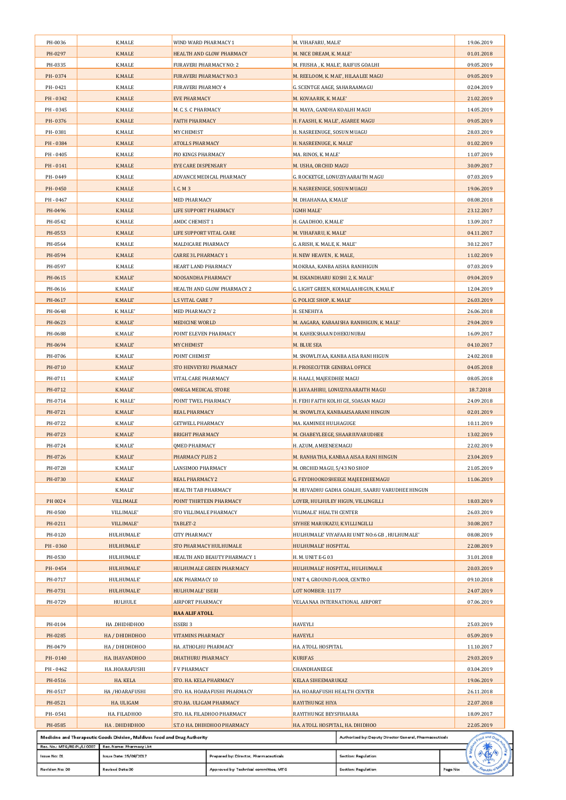| PH-0036                     | K.MALE                                                                    | WIND WARD PHARMACY 1                             |                                        | M. VIHAFARU, MALE'               |                                                         |          | 19.06.2019               |
|-----------------------------|---------------------------------------------------------------------------|--------------------------------------------------|----------------------------------------|----------------------------------|---------------------------------------------------------|----------|--------------------------|
| PH-0297                     | K.MALE                                                                    |                                                  | HEALTH AND GLOW PHARMACY               | M. NICE DREAM, K. MALE'          |                                                         |          | 01.01.2018               |
| PH-0335                     | K.MALE                                                                    |                                                  | FURAVERI PHARMACY NO: 2                |                                  | M. FIUSHA, K. MALE', RAIFUS GOALHI                      |          | 09.05.2019               |
| PH-0374                     | K.MALE                                                                    |                                                  | <b>FURAVERI PHARMACY NO:3</b>          |                                  | M. REELOOM, K. MAE', HILAALEE MAGU                      |          | 09.05.2019               |
| PH-0421                     | K.MALE                                                                    | FURAVERI PHARMCY 4                               |                                        | G. SCENTGE AAGE, SAHARAAMAGU     |                                                         |          | 02.04.2019               |
| PH - 0342                   | K.MALE                                                                    | <b>EVE PHARMACY</b>                              |                                        | M. KOVAARIK, K. MALE'            |                                                         |          | 21.02.2019               |
| PH - 0345                   | K.MALE                                                                    | M. C. S. C PHARMACY                              |                                        | M. MAYA, GANDHA KOALHI MAGU      |                                                         |          | 14.05.2019               |
| PH-0376                     | K.MALE                                                                    | <b>FAITH PHARMACY</b>                            |                                        | H. FAASHI, K. MALE', ASAREE MAGU |                                                         |          | 09.05.2019               |
| PH-0381                     | K.MALE                                                                    | MY CHEMIST                                       |                                        | H. NASREENUGE, SOSUN MUAGU       |                                                         |          | 28.03.2019               |
| PH - 0384                   | K.MALE                                                                    | <b>ATOLLS PHARMACY</b>                           |                                        | H. NASREENUGE, K. MALE'          |                                                         |          | 01.02.2019               |
| PH - 0405                   | K.MALE                                                                    | PIO KINGS PHARMACY<br><b>EYE CARE DISPENSARY</b> |                                        | MA. RINOS, K. MALE'              |                                                         |          | 11.07.2019<br>30.09.2017 |
| PH-0141                     | K.MALE                                                                    |                                                  |                                        | M. USHA, ORCHID MAGU             |                                                         |          |                          |
| PH-0449<br>PH-0450          | K.MALE<br>K.MALE                                                          | I. C. M 3                                        | ADVANCE MEDICAL PHARMACY               | H. NASREENUGE, SOSUN MUAGU       | G. ROCKETGE, LONUZIYAARAITH MAGU                        |          | 07.03.2019<br>19.06.2019 |
| PH - 0467                   | K.MALE                                                                    | MED PHARMACY                                     |                                        | M. DHAHANAA, K.MALE'             |                                                         |          | 08.08.2018               |
| PH-0496                     | K.MALE                                                                    | LIFE SUPPORT PHARMACY                            |                                        | IGMH MALE'                       |                                                         |          | 23.12.2017               |
| PH-0542                     | K.MALE                                                                    | AMDC CHEMIST 1                                   |                                        | H. GAADHOO, K.MALE'              |                                                         |          | 13.09.2017               |
| PH-0553                     | K.MALE                                                                    |                                                  | LIFE SUPPORT VITAL CARE                | M. VIHAFARU, K. MALE'            |                                                         |          | 04.11.2017               |
| PH-0564                     | K.MALE                                                                    | MALDICARE PHARMACY                               |                                        | G. ARISH, K. MALE, K. MALE'      |                                                         |          | 30.12.2017               |
| PH-0594                     | K.MALE                                                                    | <b>CARRE 3L PHARMACY 1</b>                       |                                        | H. NEW HEAVEN, K. MALE,          |                                                         |          | 11.02.2019               |
| PH-0597                     | K.MALE                                                                    | HEART LAND PHARMACY                              |                                        |                                  | M.OKRAA, KANBA AISHA RANIHIGUN                          |          | 07.03.2019               |
| PH-0615                     | K.MALE'                                                                   | NOOSANDHA PHARMACY                               |                                        | M. ISKANDHARU KOSHI 2, K. MALE'  |                                                         |          | 09.04.2019               |
| PH-0616                     | K.MALE'                                                                   |                                                  | HEALTH AND GLOW PHARMACY 2             |                                  | G. LIGHT GREEN, KOIMALAAHIGUN, K.MALE'                  |          | 12.04.2019               |
| PH-0617                     | K.MALE'                                                                   | <b>L.S VITAL CARE 7</b>                          |                                        | G. POLICE SHOP, K. MALE'         |                                                         |          | 26.03.2019               |
| PH-0648                     | K. MALE'                                                                  | MED PHARMACY 2                                   |                                        | H. SENEHIYA                      |                                                         |          | 26.06.2018               |
| PH-0623                     | K.MALE'                                                                   | MEDICINE WORLD                                   |                                        |                                  | M. AAGARA, KABAAISHA RANIHIGUN, K. MALE'                |          | 29.04.2019               |
| PH-0688                     | K.MALE'                                                                   |                                                  | POINT ELEVEN PHARMACY                  | M. KAHEKSHAAN DHEKUNUBAI         |                                                         |          | 16.09.2017               |
| PH-0694                     | K.MALE'                                                                   | <b>MY CHEMIST</b>                                |                                        | M. BLUE SEA                      |                                                         |          | 04.10.2017               |
| PH-0706                     | K.MALE'                                                                   | POINT CHEMIST                                    |                                        |                                  | M. SNOWLIYAA, KANBA AISA RANI HIGUN                     |          | 24.02.2018               |
| PH-0710                     | K.MALE'                                                                   |                                                  | STO HENVEYRU PHARMACY                  | H. PROSECUTER GENERAL OFFICE     |                                                         |          | 04.05.2018               |
| PH-0711                     | K.MALE'                                                                   | VITAL CARE PHARMACY                              |                                        | H. HAALI, MAJEEDHEE MAGU         |                                                         |          | 08.05.2018               |
| PH-0712                     | K.MALE'                                                                   | OMEGA MEDICAL STORE                              |                                        |                                  | H. JAVAAHIRU, LONUZIYAARAITH MAGU                       |          | 18.7.2018                |
| PH-0714                     | K. MALE'                                                                  | POINT TWEL PHARMACY                              |                                        |                                  | H. FEHI FAITH KOLHI GE, SOASAN MAGU                     |          | 24.09.2018               |
| PH-0721                     | K.MALE'                                                                   | <b>REAL PHARMACY</b>                             |                                        |                                  | M. SNOWLIYA, KANBAAISAARANI HINGUN                      |          | 02.01.2019               |
| PH-0722                     | K.MALE'                                                                   | <b>GETWELL PHARMACY</b>                          |                                        | MA. KAMINEE HULHAGUGE            |                                                         |          | 10.11.2019               |
| PH-0723                     | K.MALE'                                                                   | <b>BRIGHT PHARMACY</b>                           |                                        |                                  | M. CHABEYLEEGE, SHAARIUVARUDHEE                         |          | 13.02.2019               |
| PH-0724                     | K.MALE'                                                                   | <b>OMED PHARMACY</b>                             |                                        | H. AZUM, AMEENEEMAGU             |                                                         |          | 22.02.2019               |
| PH-0726                     | K.MALE'                                                                   | PHARMACY PLUS 2                                  |                                        |                                  | M. RANHATHA, KANBAA AISAA RANI HINGUN                   |          | 23.04.2019               |
| PH-0728                     | K.MALE'                                                                   | LANSIMOO PHARMACY                                |                                        | M. ORCHID MAGU, 5/43 NO SHOP     |                                                         |          | 21.05.2019               |
| PH-0730                     | K.MALE'                                                                   | <b>REAL PHARMACY 2</b>                           |                                        |                                  | G. FEYDHOOKOSHEEGE MAJEEDHEEMAGU                        |          | 11.06.2019               |
|                             | K.MALE'                                                                   | HEALTH TAB PHARMACY                              |                                        |                                  | M. HUVADHU GADHA GOALHI, SAARIU VARUDHEE HINGUN         |          |                          |
| PH 0024                     | VILLIMALE                                                                 |                                                  | POINT THIRTEEN PHARMACY                |                                  | LOYER, HULHULEY HIGUN, VILLINGILLI                      |          | 18.03.2019               |
| PH-0500                     | VILLIMALE'                                                                |                                                  | STO VILLIMALE PHARMACY                 | <b>VILIMALE' HEALTH CENTER</b>   |                                                         |          | 26.03.2019               |
| PH-0211                     | <b>VILLIMALE'</b>                                                         | TABLET-2                                         |                                        | SIYHEE MARUKAZU, K.VILLINGILLI   |                                                         |          | 30.08.2017               |
| PH-0120                     | HULHUMALE'                                                                | CITY PHARMACY                                    |                                        |                                  | HULHUMALE' VIYAFAARI UNIT NO:6 GB, HULHUMALE'           |          | 08.08.2019               |
| PH - 0360                   | HULHUMALE'                                                                |                                                  | STO PHARMACY HULHUMALE                 | HULHUMALE' HOSPITAL              |                                                         |          | 22.08.2019               |
| PH-0530                     | HULHUMALE'                                                                |                                                  | HEALTH AND BEAUTY PHARMACY 1           | H. M. UNIT E-G 03                |                                                         |          | 31.01.2018               |
| PH-0454                     | HULHUMALE'                                                                |                                                  | HULHUMALE GREEN PHARMACY               |                                  | HULHUMALE' HOSPITAL, HULHUMALE                          |          | 20.03.2019               |
| PH-0717                     | HULHUMALE'                                                                | ADK PHARMACY 10                                  |                                        | UNIT 4, GROUND FLOOR, CENTRO     |                                                         |          | 09.10.2018               |
| PH-0731                     | HULHUMALE'                                                                | <b>HULHUMALE' ISERI</b>                          |                                        | <b>LOT NOMBER: 11177</b>         |                                                         |          | 24.07.2019               |
| PH-0729                     | HULHULE                                                                   | AIRPORT PHARMACY<br><b>HAA ALIF ATOLL</b>        |                                        |                                  | VELAANAA INTERNATIONAL AIRPORT                          |          | 07.06.2019               |
| PH-0104                     | HA.DHIDHDH00                                                              | <b>ISSERI3</b>                                   |                                        | <b>HAVEYLI</b>                   |                                                         |          | 25.03.2019               |
| PH-0285                     | HA / DHIDHDHOO                                                            | <b>VITAMINS PHARMACY</b>                         |                                        | <b>HAVEYLI</b>                   |                                                         |          | 05.09.2019               |
| PH-0479                     | HA / DHIDHDHOO                                                            | HA. ATHOLHU PHARMACY                             |                                        | HA. ATOLL HOSPITAL               |                                                         |          | 11.10.2017               |
| PH-0140                     | HA. IHAVANDHOO                                                            | DHATHURU PHARMACY                                |                                        | <b>KURIFAS</b>                   |                                                         |          | 29.03.2019               |
| PH - 0462                   | HA .HOARAFUSHI                                                            | F V PHARMACY                                     |                                        | CHANDHANEEGE                     |                                                         |          | 03.04.2019               |
| PH-0516                     | HA. KELA                                                                  | STO. HA. KELA PHARMACY                           |                                        | KELAA SIHEEMARUKAZ               |                                                         |          | 19.06.2019               |
| PH-0517                     | HA /HOARAFUSHI                                                            |                                                  | STO. HA. HOARAFUSHI PHARMACY           | HA. HOARAFUSHI HEALTH CENTER     |                                                         |          | 26.11.2018               |
| PH-0521                     | HA. ULIGAM                                                                |                                                  | STO.HA. ULIGAM PHARMACY                | <b>RAYITHUNGE HIYA</b>           |                                                         |          | 22.07.2018               |
| PH-0541                     | HA. FILADHOO                                                              |                                                  | STO. HA. FILADHOO PHARMACY             | RAYITHUNGE BEYSFIHAARA           |                                                         |          | 18.09.2017               |
| PH-0585                     | HA. DHIDHDHOO                                                             |                                                  | S.T.O HA. DHIHDHOO PHARMACY            | HA. ATOLL HOSPITAL, HA. DHIDHOO  |                                                         |          | 22.05.2019               |
|                             | Medicine and Therapeutic Goods Division, Maldives Food and Drug Authority |                                                  |                                        |                                  | Authorized by: Deputy Director General, Pharmaceuticals |          | od and Do                |
| Rec. No.: MTG/RE-PL/LI 0007 | Rec. Name: Pharmacy List                                                  |                                                  |                                        |                                  |                                                         |          |                          |
| Issue No: 01                | Issue Date: 15/08/2017                                                    |                                                  | Prepared by: Director, Pharmaceuticals |                                  | Section: Regulation                                     |          |                          |
| Revision No: 00             | Revised Date: 00                                                          |                                                  | Approved by: Technical committee, MTG  |                                  | Section: Regulation                                     | Page No: |                          |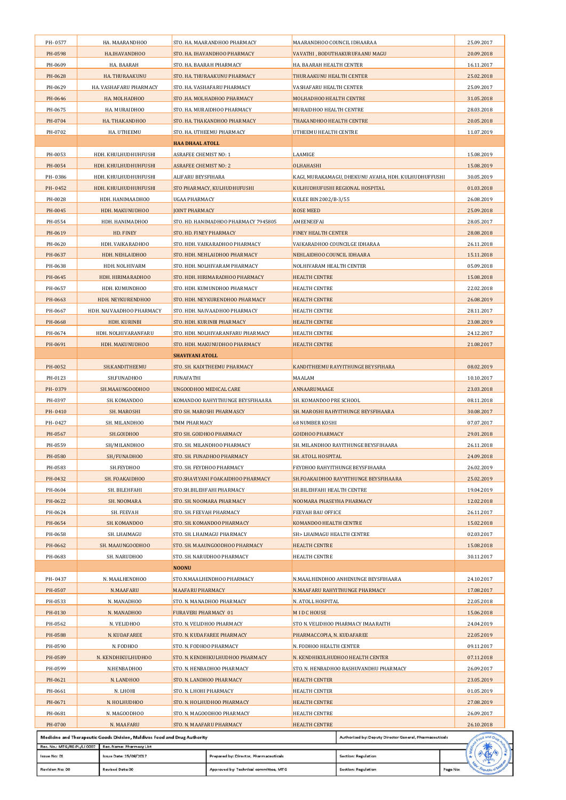| PH-0577                                     | HA. MAARANDHOO                                                            |                              | STO. HA. MAARANDHOO PHARMACY                                   |                                                        | MAARANDHOO COUNCIL IDHAARAA                             |          | 25.09.2017               |
|---------------------------------------------|---------------------------------------------------------------------------|------------------------------|----------------------------------------------------------------|--------------------------------------------------------|---------------------------------------------------------|----------|--------------------------|
| PH-0598                                     | HA.IHAVANDHOO                                                             |                              | STO. HA. IHAVANDHOO PHARMACY                                   |                                                        | VAVATHI, BODUTHAKURUFAANU MAGU                          |          | 20.09.2018               |
| PH-0609                                     | HA. BAARAH                                                                |                              | STO. HA. BAARAH PHARMACY                                       | HA. BAARAH HEALTH CENTER                               |                                                         |          | 16.11.2017               |
| PH-0628                                     | HA. THURAAKUNU                                                            |                              | STO. HA. THURAAKUNU PHARMACY                                   | THURAAKUNU HEALTH CENTER                               |                                                         |          | 25.02.2018               |
| PH-0629<br>PH-0646                          | HA. VASHAFARU PHARMACY<br>HA. MOLHADHOO                                   |                              | STO. HA. VASHAFARU PHARMACY<br>STO .HA. MOLHADHOO PHARMACY     | VASHAFARU HEALTH CENTER<br>MOLHADHOO HEALTH CENTRE     |                                                         |          | 25.09.2017<br>31.05.2018 |
| PH-0675                                     | HA. MURAIDHOO                                                             |                              | STO. HA. MURAIDHOO PHARMACY                                    | MURAIDHOO HEALTH CENTRE                                |                                                         |          | 28.03.2018               |
| PH-0704                                     | HA. THAKANDHOO                                                            |                              | STO. HA. THAKANDHOO PHARMACY                                   | THAKANDHOO HEALTH CENTRE                               |                                                         |          | 20.05.2018               |
| PH-0702                                     | HA. UTHEEMU                                                               |                              | STO. HA. UTHEEMU PHARMACY                                      | UTHEEMU HEALTH CENTRE                                  |                                                         |          | 11.07.2019               |
|                                             |                                                                           | <b>HAA DHAAL ATOLL</b>       |                                                                |                                                        |                                                         |          |                          |
| PH-0053                                     | HDH. KHULHUDHUHFUSHI                                                      | <b>ASRAFEE CHEMIST NO: 1</b> |                                                                | LAAMIGE                                                |                                                         |          | 15.08.2019               |
| PH-0054                                     | HDH. KHULHUDHUHFUSHI                                                      | <b>ASRAFEE CHEMIST NO: 2</b> |                                                                | <b>OLHAHASHI</b>                                       |                                                         |          | 15.08.2019               |
| PH-0386                                     | HDH. KHULHUDHUHFUSHI                                                      | ALIFARU BEYSFIHARA           |                                                                |                                                        | KAGI, MURAKAMAGU, DHEKUNU AVAHA, HDH. KULHUDHUFFUSHI    |          | 30.05.2019               |
| PH-0452                                     | HDH. KHULHUDHUHFUSHI                                                      |                              | STO PHARMACY, KULHUDHUFUSHI                                    |                                                        | KULHUDHUFUSHI REGIONAL HOSPITAL                         |          | 01.03.2018               |
| PH-0028                                     | HDH. HANIMAADHOO                                                          | UGAA PHARMACY                |                                                                | KULEE BIN 2002/B-3/55                                  |                                                         |          | 26.08.2019               |
| PH-0045                                     | HDH. MAKUNUDHOO                                                           | <b>JOINT PHARMACY</b>        |                                                                | <b>ROSE MEED</b>                                       |                                                         |          | 25.09.2018               |
| PH-0554                                     | HDH. HANIMADHOO                                                           |                              | STO. HD. HANIMADHOO PHARMACY 7945805                           | AMEENEEFAI                                             |                                                         |          | 28.05.2017               |
| PH-0619                                     | HD. FINEY                                                                 |                              | STO. HD. FINEY PHARMACY                                        | <b>FINEY HEALTH CENTER</b>                             |                                                         |          | 28.08.2018               |
| PH-0620                                     | HDH. VAIKARADHOO                                                          |                              | STO. HDH. VAIKARADHOO PHARMACY                                 |                                                        | VAIKARADHOO COUNCILGE IDHARAA                           |          | 26.11.2018               |
| PH-0637<br>PH-0638                          | HDH. NEHLAIDHOO<br>HDH. NOLHIVARM                                         |                              | STO. HDH. NEHLAIDHOO PHARMACY<br>STO. HDH. NOLHIVARAM PHARMACY | NEHLAIDHOO COUNCIL IDHAARA<br>NOLHIVARAM HEALTH CENTER |                                                         |          | 15.11.2018<br>05.09.2018 |
| PH-0645                                     | HDH. HIRIMARADHOO                                                         |                              | STO. HDH. HIRIMARADHOO PHARMACY                                | <b>HEALTH CENTRE</b>                                   |                                                         |          | 15.08.2018               |
| PH-0657                                     | HDH. KUMUNDHOO                                                            |                              | STO. HDH. KUMUNDHOO PHARMACY                                   | <b>HEALTH CENTRE</b>                                   |                                                         |          | 22.02.2018               |
| PH-0663                                     | HDH. NEYKURENDHOO                                                         |                              | STO. HDH. NEYKURENDHOO PHARMACY                                | <b>HEALTH CENTRE</b>                                   |                                                         |          | 26.08.2019               |
| PH-0667                                     | HDH. NAIVAADHOO PHARMACY                                                  |                              | STO. HDH. NAIVAADHOO PHARMACY                                  | <b>HEALTH CENTRE</b>                                   |                                                         |          | 28.11.2017               |
| PH-0668                                     | HDH. KURINBI                                                              |                              | STO. HDH. KURINBI PHARMACY                                     | <b>HEALTH CENTRE</b>                                   |                                                         |          | 23.08.2019               |
| PH-0674                                     | HDH. NOLHIVARANFARU                                                       |                              | STO. HDH. NOLHIVARANFARU PHARMACY                              | HEALTH CENTRE                                          |                                                         |          | 24.12.2017               |
| PH-0691                                     | HDH. MAKUNUDHOO                                                           |                              | STO. HDH. MAKUNUDHOO PHARMACY                                  | <b>HEALTH CENTRE</b>                                   |                                                         |          | 21.08.2017               |
|                                             |                                                                           | <b>SHAVIYANI ATOLL</b>       |                                                                |                                                        |                                                         |          |                          |
| PH-0052                                     | SH.KANDITHEEMU                                                            |                              | STO. SH. KADITHEEMU PHARMACY                                   |                                                        | KANDITHEEMU RAYYITHUNGE BEYSFIHARA                      |          | 08.02.2019               |
| PH-0123                                     | SH.FUNADHOO                                                               | FUNAFATHI                    |                                                                | MAALAM                                                 |                                                         |          | 10.10.2017               |
| PH-0379                                     | SH.MAAUNGOODHOO                                                           |                              | UNGOODHOO MEDICAL CARE                                         | ANNAARUMAAGE                                           |                                                         |          | 23.03.2018               |
| PH-0397                                     | SH. KOMANDOO                                                              |                              | KOMANDOO RAHYITHUNGE BEYSFIHAARA                               | SH. KOMANDOO PRE SCHOOL                                |                                                         |          | 08.11.2018               |
| PH-0410                                     | SH. MAROSHI                                                               |                              | STO SH. MAROSHI PHARMASCY                                      |                                                        | SH. MAROSHI RAHYITHUNGE BEYSFIHAARA                     |          | 30.08.2017               |
| PH-0427                                     | SH. MILANDHOO                                                             | TMM PHARMACY                 |                                                                | 68 NUMBER KOSHI                                        |                                                         |          | 07.07.2017               |
| PH-0567                                     | SH.GOIDHOO                                                                |                              | STO SH. GOIDHOO PHARMACY                                       | <b>GOIDHOO PHARMACY</b>                                |                                                         |          | 29.01.2018               |
| PH-0559<br>PH-0580                          | SH/MILANDHOO<br>SH/FUNADHOO                                               |                              | STO. SH. MILANDHOO PHARMACY<br>STO. SH. FUNADHOO PHARMACY      | <b>SH. ATOLL HOSPITAL</b>                              | SH. MILANDHOO RAYITHUNGE BEYSFIHAARA                    |          | 26.11.2018<br>24.09.2018 |
| PH-0583                                     | SH.FEYDHOO                                                                |                              | STO. SH. FEYDHOO PHARMACY                                      |                                                        | FEYDHOO RAHYITHUNGE BEYSFIHAARA                         |          | 26.02.2019               |
| PH-0432                                     | SH. FOAKAIDHOO                                                            |                              | STO.SHAVIYANI FOAKAIDHOO PHARMACY                              |                                                        | SH.FOAKAIDHOO RAYYITHUNGE BEYSFIHAARA                   |          | 25.02.2019               |
| PH-0604                                     | SH. BILEHFAHI                                                             |                              | STO.SH.BILEHFAHI PHARMACY                                      | SH.BILEHFAHI HEALTH CENTRE                             |                                                         |          | 19.04.2019               |
| PH-0622                                     | SH. NOOMARA                                                               |                              | STO. SH. NOOMARA PHARMACY                                      | NOOMARA PHASEYHA PHARMACY                              |                                                         |          | 12.02.2018               |
| PH-0624                                     | SH. FEEVAH                                                                |                              | STO. SH. FEEVAH PHARMACY                                       | <b>FEEVAH BAU OFFICE</b>                               |                                                         |          | 26.11.2017               |
| PH-0654                                     | SH. KOMANDOO                                                              |                              | STO. SH. KOMANDOO PHARMACY                                     | KOMANDOO HEALTH CENTRE                                 |                                                         |          | 15.02.2018               |
| PH-0658                                     | SH. LHAIMAGU                                                              |                              | STO. SH. LHAIMAGU PHARMACY                                     | SH> LHAIMAGU HEALTH CENTRE                             |                                                         |          | 02.03.2017               |
| PH-0662                                     | SH. MAAUNGOODHOO                                                          |                              | STO. SH. MAAUNGOODHOO PHARMACY                                 | <b>HEALTH CENTRE</b>                                   |                                                         |          | 15.08.2018               |
| PH-0683                                     | SH. NARUDHOO                                                              |                              | STO. SH. NARUDHOO PHARMACY                                     | <b>HEALTH CENTRE</b>                                   |                                                         |          | 30.11.2017               |
|                                             |                                                                           | <b>NOONU</b>                 |                                                                |                                                        |                                                         |          |                          |
| PH-0437                                     | N. MAALHENDHOO                                                            |                              | STO.N.MAALHENDHOO PHARMACY                                     |                                                        | N.MAALHENDHOO ANHENUNGE BEYSFIHAARA                     |          | 24.10.2017               |
| PH-0507                                     | N.MAAFARU                                                                 | MAAFARU PHARMACY             |                                                                |                                                        | N.MAAFARU RAHYITHUNGE PHARMACY                          |          | 17.08.2017               |
| PH-0533                                     | N. MANADHOO                                                               |                              | STO. N. MANADHOO PHARMACY                                      | N. ATOLL HOSPITAL                                      |                                                         |          | 22.05.2018               |
| PH-0130<br>PH-0562                          | N. MANADHOO<br>N. VELIDHOO                                                | <b>FURAVERI PHARMACY 01</b>  | STO. N. VELIDHOO PHARMACY                                      | MID CHOUSE                                             | STO N. VELIDHOO PHARMACY IMAARAITH                      |          | 15.06.2018<br>24.04.2019 |
| PH-0588                                     | N. KUDAFAREE                                                              |                              | STO. N. KUDAFAREE PHARMACY                                     | PHARMACCOPIA, N. KUDAFAREE                             |                                                         |          | 22.05.2019               |
| PH-0590                                     | N. FODHOO                                                                 |                              | STO. N. FODHOO PHARMACY                                        | N. FODHOO HEALTH CENTER                                |                                                         |          | 09.11.2017               |
| PH-0589                                     | N. KENDHIKULHUDHOO                                                        |                              | STO. N. KENDHIKULHUDHOO PHARMACY                               |                                                        | N. KENDHIKULHUDHOO HEALTH CENTER                        |          | 07.11.2018               |
| PH-0599                                     | N.HENBADHOO                                                               |                              | STO. N. HENBADHOO PHARMACY                                     |                                                        | STO. N. HENBADHOO RASHUVANDHU PHARMACY                  |          | 26.09.2017               |
| PH-0621                                     | N. LANDHOO                                                                |                              | STO. N. LANDHOO PHARMACY                                       | <b>HEALTH CENTER</b>                                   |                                                         |          | 23.05.2019               |
| PH-0661                                     | N. LHOHI                                                                  | STO. N. LHOHI PHARMACY       |                                                                | HEALTH CENTER                                          |                                                         |          | 01.05.2019               |
| PH-0671                                     | N. HOLHUDHOO                                                              |                              | STO. N. HOLHUDHOO PHARMACY                                     | <b>HEALTH CENTRE</b>                                   |                                                         |          | 27.08.2019               |
| PH-0681                                     | N. MAGOODHOO                                                              |                              | STO. N. MAGOODHOO PHARMACY                                     | <b>HEALTH CENTRE</b>                                   |                                                         |          | 26.09.2017               |
| PH-0700                                     | N. MAAFARU                                                                |                              | STO. N. MAAFARU PHARMACY                                       | <b>HEALTH CENTRE</b>                                   |                                                         |          | 26.10.2018               |
|                                             | Medicine and Therapeutic Goods Division, Maldives Food and Drug Authority |                              |                                                                |                                                        | Authorized by: Deputy Director General, Pharmaceuticals |          | od and D                 |
| Rec. No.: MTG/RE-PL/LI 0007<br>Issue No: 01 | Rec. Name: Pharmacy List<br>Issue Date: 15/08/2017                        |                              | Prepared by: Director, Pharmaceuticals                         |                                                        | Section: Regulation                                     |          |                          |
|                                             |                                                                           |                              |                                                                |                                                        |                                                         |          |                          |
| Revision No: 00                             | Revised Date: 00                                                          |                              | Approved by: Technical committee, MTG                          |                                                        | Section: Regulation                                     | Page No: |                          |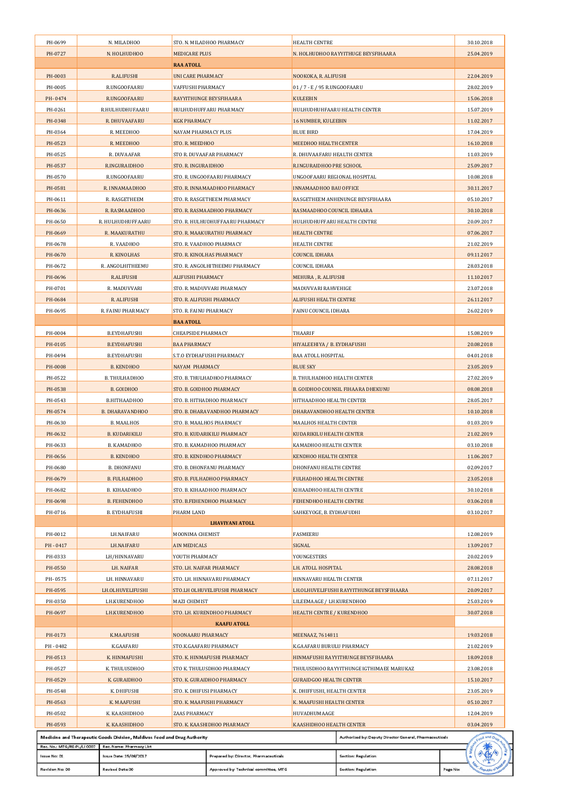| PH-0699                     | N. MILADHOO                                                               |                          | STO. N. MILADHOO PHARMACY                                   | <b>HEALTH CENTRE</b>                                   |                                                                                |          | 30.10.2018               |
|-----------------------------|---------------------------------------------------------------------------|--------------------------|-------------------------------------------------------------|--------------------------------------------------------|--------------------------------------------------------------------------------|----------|--------------------------|
| PH-0727                     | N. HOLHUDHOO                                                              | <b>MEDICARE PLUS</b>     |                                                             |                                                        | N. HOLHUDHOO RAYYITHUGE BEYSFIHAARA                                            |          | 25.04.2019               |
|                             |                                                                           | <b>RAA ATOLL</b>         |                                                             |                                                        |                                                                                |          |                          |
| PH-0003                     | <b>R.ALIFUSHI</b>                                                         | <b>UNI CARE PHARMACY</b> |                                                             | NOOKOKA, R. ALIFUSHI                                   |                                                                                |          | 22.04.2019               |
| PH-0005                     | R.UNGOOFAARU                                                              | VAFFUSHI PHARMACY        |                                                             | 01 / 7 - E / 95 R.UNGOOFAARU                           |                                                                                |          | 28.02.2019               |
| PH-0474                     | R.UNGOOFAARU                                                              |                          | RAYYITHUNGE BEYSFIHAARA                                     | <b>KULEEBIN</b>                                        |                                                                                |          | 15.06.2018               |
| PH-0261                     | R.HULHUDHUFAARU                                                           |                          | HULHUDHUFFARU PHARMACY                                      |                                                        | HULHUDHUHFAARU HEALTH CENTER                                                   |          | 15.07.2019               |
| PH-0348                     | R. DHUVAAFARU                                                             | <b>KGK PHARMACY</b>      |                                                             | 16 NUMBER, KULEEBIN                                    |                                                                                |          | 11.02.2017               |
| PH-0364                     | R. MEEDHOO                                                                | NAYAM PHARMACY PLUS      |                                                             | <b>BLUE BIRD</b>                                       |                                                                                |          | 17.04.2019               |
| PH-0523<br>PH-0525          | R. MEEDHOO<br>R. DUVAAFAR                                                 | STO. R. MEEDHOO          | STO R. DUVAAFAR PHARMACY                                    | MEEDHOO HEALTH CENTER<br>R. DHUVAAFARU HEALTH CENTER   |                                                                                |          | 16.10.2018<br>11.03.2019 |
| PH-0537                     | R.INGURAIDHOO                                                             | STO. R. INGURAIDHOO      |                                                             | R.INGURAIDHOO PRE SCHOOL                               |                                                                                |          | 25.09.2017               |
| PH-0570                     | R.UNGOOFAARU                                                              |                          | STO. R. UNGOOFAARU PHARMACY                                 | UNGOOFAARU REGIONAL HOSPITAL                           |                                                                                |          | 10.08.2018               |
| PH-0581                     | R. INNAMAADHOO                                                            |                          | STO. R. INNAMAADHOO PHARMACY                                | <b>INNAMAADHOO BAU OFFICE</b>                          |                                                                                |          | 30.11.2017               |
| PH-0611                     | R. RASGETHEEM                                                             |                          | STO. R. RASGETHEEM PHARMACY                                 |                                                        | RASGETHEEM ANHENUNGE BEYSFIHAARA                                               |          | 05.10.2017               |
| PH-0636                     | R. RASMAADHOO                                                             |                          | STO. R. RASMAADHOO PHARMACY                                 | RASMAADHOO COUNCIL IDHAARA                             |                                                                                |          | 30.10.2018               |
| PH-0650                     | R. HULHUDHUFFAARU                                                         |                          | STO. R. HULHUDHUFFAARU PHARMACY                             |                                                        | HULHUDHUFFARU HEALTH CENTRE                                                    |          | 20.09.2017               |
| PH-0669                     | R. MAAKURATHU                                                             |                          | STO. R. MAAKURATHU PHARMACY                                 | HEALTH CENTRE                                          |                                                                                |          | 07.06.2017               |
| PH-0678                     | R. VAADHOO                                                                |                          | STO. R. VAADHOO PHARMACY                                    | <b>HEALTH CENTRE</b>                                   |                                                                                |          | 21.02.2019               |
| PH-0670                     | R. KINOLHAS                                                               |                          | STO. R. KINOLHAS PHARMACY                                   | <b>COUNCIL IDHARA</b>                                  |                                                                                |          | 09.11.2017               |
| PH-0672                     | R. ANGOLHITHEEMU                                                          |                          | STO. R. ANGOLHITHEEMU PHARMACY                              | <b>COUNCIL IDHARA</b>                                  |                                                                                |          | 28.03.2018               |
| PH-0696                     | <b>R.ALIFUSHI</b>                                                         | <b>ALIFUSHI PHARMACY</b> |                                                             | MEHURA, R. ALIFUSHI                                    |                                                                                |          | 11.10.2017               |
| PH-0701                     | R. MADUVVARI                                                              |                          | STO. R. MADUVVARI PHARMACY                                  | MADUVVARI RAHVEHIGE                                    |                                                                                |          | 23.07.2018               |
| PH-0684                     | R. ALIFUSHI                                                               |                          | STO. R. ALIFUSHI PHARMACY                                   | <b>ALIFUSHI HEALTH CENTRE</b>                          |                                                                                |          | 26.11.2017               |
| PH-0695                     | R. FAINU PHARMACY                                                         | STO. R. FAINU PHARMACY   |                                                             | FAINU COUNCIL IDHARA                                   |                                                                                |          | 26.02.2019               |
|                             |                                                                           | <b>BAA ATOLL</b>         |                                                             |                                                        |                                                                                |          |                          |
| PH-0004                     | B.EYDHAFUSHI                                                              | CHEAPSIDE PHARMACY       |                                                             | THAARIF                                                |                                                                                |          | 15.08.2019               |
| PH-0105                     | <b>B.EYDHAFUSHI</b>                                                       | <b>BAA PHARMACY</b>      |                                                             | HIYALEEHIYA / B. EYDHAFUSHI                            |                                                                                |          | 20.08.2018               |
| PH-0494                     | <b>B.EYDHAFUSHI</b>                                                       |                          | S.T.O EYDHAFUSHI PHARMACY                                   | <b>BAA ATOLL HOSPITAL</b>                              |                                                                                |          | 04.01.2018               |
| PH-0008                     | <b>B. KENDHOO</b>                                                         | NAYAM PHARMACY           |                                                             | <b>BLUE SKY</b>                                        |                                                                                |          | 23.05.2019               |
| PH-0522                     | B. THULHADHOO                                                             |                          | STO. B. THULHADHOO PHARMACY                                 | <b>B. THULHADHOO HEALTH CENTER</b>                     |                                                                                |          | 27.02.2019               |
| PH-0538<br>PH-0543          | <b>B. GOIDHOO</b>                                                         |                          | STO. B. GOIDHOO PHARMACY                                    |                                                        | B. GOIDHOO COUNSIL FIHAARA DHEKUNU                                             |          | 08.08.2018               |
| PH-0574                     | B.HITHAADHOO<br><b>B. DHARAVANDHOO</b>                                    |                          | STO. B. HITHADHOO PHARMACY<br>STO. B. DHARAVANDHOO PHARMACY | HITHAADHOO HEALTH CENTER<br>DHARAVANDHOO HEALTH CENTER |                                                                                |          | 28.05.2017<br>10.10.2018 |
| PH-0630                     | <b>B. MAALHOS</b>                                                         |                          | STO. B. MAALHOS PHARMACY                                    | <b>MAALHOS HEALTH CENTER</b>                           |                                                                                |          | 01.03.2019               |
| PH-0632                     | <b>B. KUDARIKILU</b>                                                      |                          | STO. B. KUDARIKILU PHARMACY                                 | KUDARIKILU HEALTH CENTER                               |                                                                                |          | 21.02.2019               |
| PH-0633                     | B. KAMADHOO                                                               |                          | STO. B. KAMADHOO PHARMACY                                   | KAMADHOO HEALTH CENTER                                 |                                                                                |          | 03.10.2018               |
| PH-0656                     | <b>B. KENDHOO</b>                                                         |                          | STO. B. KENDHOO PHARMACY                                    | <b>KENDHOO HEALTH CENTER</b>                           |                                                                                |          | 11.06.2017               |
| PH-0680                     | <b>B. DHONFANU</b>                                                        |                          | STO. B. DHONFANU PHARMACY                                   | DHONFANU HEALTH CENTRE                                 |                                                                                |          | 02.09.2017               |
| PH-0679                     | <b>B. FULHADHOO</b>                                                       |                          | STO. B. FULHADHOO PHARMACY                                  | FULHADHOO HEALTH CENTRE                                |                                                                                |          | 23.05.2018               |
| PH-0682                     | B. KIHAADHOO                                                              |                          | STO. B. KIHAADHOO PHARMACY                                  | KIHAADHOO HEALTH CENTRE                                |                                                                                |          | 30.10.2018               |
| PH-0698                     | <b>B. FEHENDHOO</b>                                                       |                          | STO. B.FEHENDHOO PHARMACY                                   | FEHENDHOO HEALTH CENTRE                                |                                                                                |          | 03.06.2018               |
| PH-0716                     | <b>B. EYDHAFUSHI</b>                                                      | PHARM LAND               |                                                             | SAHKEYOGE, B. EYDHAFUDHI                               |                                                                                |          | 03.10.2017               |
|                             |                                                                           |                          | <b>LHAVIYANI ATOLL</b>                                      |                                                        |                                                                                |          |                          |
| PH-0012                     | LH.NAIFARU                                                                | MOONIMA CHEMIST          |                                                             | <b>FASMEERU</b>                                        |                                                                                |          | 12.08.2019               |
| PH - 0417                   | <b>LH.NAIFARU</b>                                                         | <b>AIN MEDICALS</b>      |                                                             | SIGNAL                                                 |                                                                                |          | 13.09.2017               |
| PH-0333                     | LH/HINNAVARU                                                              | YOUTH PHARMACY           |                                                             | YOUNGESTERS                                            |                                                                                |          | 20.02.2019               |
| PH-0550                     | LH. NAIFAR                                                                |                          | STO. LH. NAIFAR PHARMACY                                    | LH. ATOLL HOSPITAL                                     |                                                                                |          | 28.08.2018               |
| PH-0575                     | LH. HINNAVARU                                                             |                          | STO. LH. HINNAVARU PHARMACY                                 | HINNAVARU HEALTH CENTER                                |                                                                                |          | 07.11.2017               |
| PH-0595                     | LH.OLHUVELIFUSHI                                                          |                          | STO.LH OLHUVELIFUSHI PHARMACY                               |                                                        | LH.OLHUVELIFUSHI RAYYITHUNGE BEYSFIHAARA                                       |          | 20.09.2017               |
| PH-0350                     | LH.KURENDHOO                                                              | MAZI CHEMIST             |                                                             | LILEEMAAGE / LH.KURENDHOO                              |                                                                                |          | 25.03.2019               |
| PH-0697                     | LH.KURENDHOO                                                              |                          | STO. LH. KURENDHOO PHARMACY                                 | HEALTH CENTRE / KURENDHOO                              |                                                                                |          | 30.07.2018               |
|                             |                                                                           |                          | <b>KAAFU ATOLL</b>                                          |                                                        |                                                                                |          |                          |
| PH-0173                     | K.MAAFUSHI                                                                | NOONAARU PHARMACY        |                                                             | MEENAAZ, 7614811                                       |                                                                                |          | 19.03.2018               |
| PH - 0482                   | K.GAAFARU                                                                 |                          | STO.K.GAAFARU PHARMACY                                      | K.GAAFARU BURULU PHARMACY                              |                                                                                |          | 21.02.2019               |
| PH-0513<br>PH-0527          | K. HINMAFUSHI<br>K. THULUSDHOO                                            |                          | STO. K. HINMAFUSHI PHARMACY<br>STO K. THULUSDHOO PHARMACY   |                                                        | HINMAFUSHI RAYYITHUNGE BEYSFIHAARA<br>THULUSDHOO RAYYITHUNGE IGTHIMAEE MARUKAZ |          | 18.09.2018<br>23.08.2018 |
| PH-0529                     | K. GURAIDHOO                                                              |                          | STO. K. GURAIDHOO PHARMACY                                  | <b>GURAIDGOO HEALTH CENTER</b>                         |                                                                                |          | 15.10.2017               |
| PH-0548                     | K. DHIFUSHI                                                               |                          | STO. K. DHIFUSI PHARMACY                                    | K. DHIFFUSHI, HEALTH CENTER                            |                                                                                |          | 23.05.2019               |
| PH-0563                     | K. MAAFUSHI                                                               |                          | STO. K. MAAFUSHI PHARMACY                                   | K. MAAFUSHI HEALTH CENTER                              |                                                                                |          | 05.10.2017               |
| PH-0502                     | K. KAASHIDHOO                                                             | ZAAS PHARMACY            |                                                             | HUVADHUMAAGE                                           |                                                                                |          | 12.04.2019               |
| PH-0593                     | K. KAASHIDHOO                                                             |                          | STO. K. KAASHIDHOO PHARMACY                                 | KAASHIDHOO HEALTH CENTER                               |                                                                                |          | 03.04.2019               |
|                             | Medicine and Therapeutic Goods Division, Maldives Food and Drug Authority |                          |                                                             |                                                        | Authorized by: Deputy Director General, Pharmaceuticals                        |          | od and Dr                |
| Rec. No.: MTG/RE-PL/LI 0007 | Rec. Name: Pharmacy List                                                  |                          |                                                             |                                                        |                                                                                |          |                          |
| Issue No: 01                | Issue Date: 15/08/2017                                                    |                          | Prepared by: Director, Pharmaceuticals                      |                                                        | Section: Regulation                                                            |          |                          |
| Revision No: 00             | Revised Date: 00                                                          |                          | Approved by: Technical committee, MTG                       |                                                        | Section: Regulation                                                            | Page No: |                          |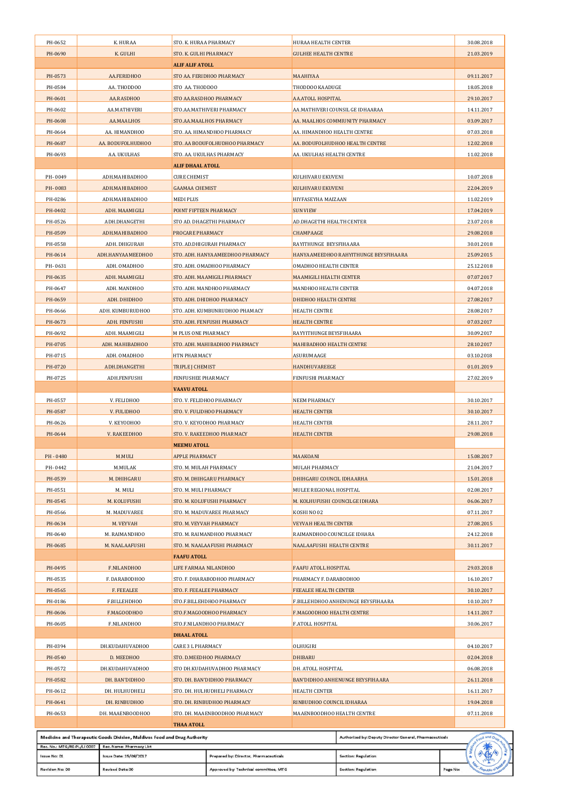| PH-0652                     | K. HURAA                                                                  | STO. K. HURAA PHARMACY   |                                                            | HURAA HEALTH CENTER                              |                                                         |          | 30.08.2018               |
|-----------------------------|---------------------------------------------------------------------------|--------------------------|------------------------------------------------------------|--------------------------------------------------|---------------------------------------------------------|----------|--------------------------|
| PH-0690                     | K. GULHI                                                                  | STO. K. GULHI PHARMACY   |                                                            | <b>GULHEE HEALTH CENTRE</b>                      |                                                         |          | 21.03.2019               |
|                             |                                                                           | <b>ALIF ALIF ATOLL</b>   |                                                            |                                                  |                                                         |          |                          |
| PH-0573                     | AA.FERIDHOO                                                               |                          | STO AA. FERIDHOO PHARMACY                                  | MAAHIYAA                                         |                                                         |          | 09.11.2017               |
| PH-0584                     | AA. THODDOO                                                               | STO AA. THODDOO          |                                                            | THODDOO KAADUGE                                  |                                                         |          | 18.05.2018               |
| PH-0601                     | AA.RASDHOO                                                                |                          | STO AA.RASDHOO PHARMACY                                    | <b>AA.ATOLL HOSPITAL</b>                         |                                                         |          | 29.10.2017               |
| PH-0602                     | AA.MATHIVERI                                                              |                          | STO.AA.MATHIVERI PHARMACY                                  |                                                  | AA.MATHIVERI COUNSIL GE IDHAARAA                        |          | 14.11.2017               |
| PH-0608                     | AA.MAALHOS                                                                |                          | STO.AA.MAALHOS PHARMACY                                    |                                                  | AA. MAALHOS COMMIUNITY PHARMACY                         |          | 03.09.2017               |
| PH-0664                     | AA. HIMANDHOO                                                             |                          | STO. AA. HIMANDHOO PHARMACY                                | AA. HIMANDHOO HEALTH CENTRE                      |                                                         |          | 07.03.2018               |
| PH-0687                     | AA. BODUFOLHUDHOO                                                         |                          | STO. AA BODUFOLHUDHOO PHARMACY                             |                                                  | AA. BODUFOLHUDHOO HEALTH CENTRE                         |          | 12.02.2018               |
| PH-0693                     | AA. UKULHAS                                                               |                          | STO. AA. UKULHAS PHARMACY                                  | AA. UKULHAS HEALTH CENTRE                        |                                                         |          | 11.02.2018               |
|                             |                                                                           | <b>ALIF DHAAL ATOLL</b>  |                                                            |                                                  |                                                         |          |                          |
| PH-0049                     | ADH.MAHIBADHOO                                                            | <b>CURE CHEMIST</b>      |                                                            | KULHIVARU EKUVENI                                |                                                         |          | 10.07.2018               |
| PH-0083                     | ADH.MAHIBADHOO                                                            | <b>GAAMAA CHEMIST</b>    |                                                            | KULHIVARU EKUVENI                                |                                                         |          | 22.04.2019               |
| PH-0286                     | ADH.MAHIBADHOO                                                            | MEDI PLUS                |                                                            | HIYFASEYHA MAIZAAN                               |                                                         |          | 11.02.2019               |
| PH-0402                     | ADH. MAAMIGILI                                                            |                          | POINT FIFTEEN PHARMACY                                     | <b>SUN VIEW</b>                                  |                                                         |          | 17.04.2019               |
| PH-0526                     | ADH.DHANGETHI                                                             |                          | STO AD. DHAGETHI PHARMACY                                  | AD.DHAGETHI HEALTH CENTER                        |                                                         |          | 23.07.2018               |
| PH-0509                     | ADH.MAHIBADHOO                                                            | PROCARE PHARMACY         |                                                            | CHAMPAAGE                                        |                                                         |          | 29.08.2018               |
| PH-0558                     | ADH. DHIGURAH                                                             |                          | STO. AD.DHIGURAH PHARMACY                                  | RAYITHUNGE BEYSFIHAARA                           |                                                         |          | 30.01.2018               |
| PH-0614                     | ADH.HANYAAMEEDHOO                                                         |                          | STO. ADH. HANYAAMEEDHOO PHARMACY                           |                                                  | HANYAAMEEDHOO RAHYITHUNGE BEYSFIHAARA                   |          | 25.09.2015               |
| PH-0631<br>PH-0635          | ADH. OMADHOO                                                              |                          | STO. ADH. OMADHOO PHARMACY                                 | OMADHOO HEALTH CENTER                            |                                                         |          | 25.12.2018               |
| PH-0647                     | ADH. MAAMIGILI<br>ADH. MANDHOO                                            |                          | STO. ADH. MAAMIGILI PHARMACY<br>STO. ADH. MANDHOO PHARMACY | MAAMIGILI HEALTH CENTER<br>MANDHOO HEALTH CENTER |                                                         |          | 07.07.2017<br>04.07.2018 |
| PH-0659                     | ADH. DHIDHOO                                                              |                          | STO. ADH. DHIDHOO PHARMACY                                 | <b>DHIDHOO HEALTH CENTRE</b>                     |                                                         |          | 27.08.2017               |
| PH-0666                     | ADH. KUMBURUDHOO                                                          |                          | STO. ADH. KUMBUNRUDHOO PHAMACY                             | HEALTH CENTRE                                    |                                                         |          | 28.08.2017               |
| PH-0673                     | ADH. FENFUSHI                                                             |                          | STO. ADH. FENFUSHI PHARMACY                                | <b>HEALTH CENTRE</b>                             |                                                         |          | 07.03.2017               |
| PH-0692                     | ADH. MAAMIGILI                                                            | M PLUS ONE PHARMACY      |                                                            | RAYYITHUNGE BEYSFIHAARA                          |                                                         |          | 30.09.2017               |
| PH-0705                     | ADH. MAHIBADHOO                                                           |                          | STO. ADH. MAHIBADHOO PHARMACY                              | MAHIBADHOO HEALTH CENTRE                         |                                                         |          | 28.10.2017               |
| PH-0715                     | ADH. OMADHOO                                                              | HTN PHARMACY             |                                                            | ASURUMAAGE                                       |                                                         |          | 03.10.2018               |
| PH-0720                     | ADH.DHANGETHI                                                             | <b>TRIPLE J CHEMIST</b>  |                                                            | <b>HANDHUVAREEGE</b>                             |                                                         |          | 01.01.2019               |
| PH-0725                     | ADH.FENFUSHI                                                              | FENFUSHEE PHARMACY       |                                                            | FENFUSHI PHARMACY                                |                                                         |          | 27.02.2019               |
|                             |                                                                           | <b>VAAVU ATOLL</b>       |                                                            |                                                  |                                                         |          |                          |
| PH-0557                     | V. FELIDHOO                                                               |                          | STO. V. FELIDHOO PHARMACY                                  | NEEM PHARMACY                                    |                                                         |          | 30.10.2017               |
| PH-0587                     | V. FULIDHOO                                                               |                          | STO. V. FULIDHOO PHARMACY                                  | <b>HEALTH CENTER</b>                             |                                                         |          | 30.10.2017               |
| PH-0626                     | V. KEYODHOO                                                               |                          | STO. V. KEYODHOO PHARMACY                                  | HEALTH CENTER                                    |                                                         |          | 28.11.2017               |
| PH-0644                     | V. RAKEEDHOO                                                              |                          | STO. V. RAKEEDHOO PHARMACY                                 | <b>HEALTH CENTER</b>                             |                                                         |          | 29.08.2018               |
|                             |                                                                           | <b>MEEMU ATOLL</b>       |                                                            |                                                  |                                                         |          |                          |
| PH - 0480                   | M.MULI                                                                    | <b>APPLE PHARMACY</b>    |                                                            | MAAKOANI                                         |                                                         |          | 15.08.2017               |
| PH-0442                     | M.MULAK                                                                   |                          | STO. M. MULAH PHARMACY                                     | MULAH PHARMACY                                   |                                                         |          | 21.04.2017               |
| PH-0539                     | M. DHIHGARU                                                               |                          | STO. M. DHIHGARU PHARMACY                                  | DHIHGARU COUNCIL IDHAARHA                        |                                                         |          | 15.01.2018               |
| PH-0551                     | M. MULI                                                                   | STO. M. MULI PHARMACY    |                                                            | MULEE REGIONAL HOSPITAL                          |                                                         |          | 02.08.2017               |
| PH-0545                     | M. KOLUFUSHI                                                              |                          | STO. M. KOLUFUSHI PHARMACY                                 |                                                  | M. KOLHUFUSHI COUNCILGE IDHARA                          |          | 06.06.2017               |
| PH-0566                     | M. MADUVAREE                                                              |                          | STO. M. MADUVAREE PHARMACY                                 | KOSHI NO 02                                      |                                                         |          | 07.11.2017               |
| PH-0634                     | M. VEYVAH                                                                 |                          | STO. M. VEYVAH PHARMACY                                    | <b>VEYVAH HEALTH CENTER</b>                      |                                                         |          | 27.08.2015               |
| PH-0640                     | M. RAIMANDHOO                                                             |                          | STO. M. RAIMANDHOO PHARMACY                                | RAIMANDHOO COUNCILGE IDHARA                      |                                                         |          | 24.12.2018               |
| PH-0685                     | M. NAALAAFUSHI                                                            | <b>FAAFU ATOLL</b>       | STO. M. NAALAAFUSHI PHARMACY                               | NAALAAFUSHI HEALTH CENTRE                        |                                                         |          | 30.11.2017               |
| PH-0495                     | F.NILANDHOO                                                               |                          | LIFE FARMAA NILANDHOO                                      | <b>FAAFU ATOLL HOSPITAL</b>                      |                                                         |          | 29.03.2018               |
| PH-0535                     | F. DARABODHOO                                                             |                          | STO. F. DHARABODHOO PHARMACY                               | PHARMACY F. DARABODHOO                           |                                                         |          | 16.10.2017               |
| PH-0565                     | F. FEEALEE                                                                |                          | STO. F. FEEALEE PHARMACY                                   | <b>FEEALEE HEALTH CENTER</b>                     |                                                         |          | 30.10.2017               |
| PH-0186                     | F.BILLEHDHOO                                                              |                          | STO.F.BILLEHDHOO PHARMACY                                  |                                                  | F.BILLEHDHOO ANHENUNGE BEYSFIHAARA                      |          | 10.10.2017               |
| PH-0606                     | F.MAGOODHOO                                                               |                          | STO.F.MAGOODHOO PHARMACY                                   | F.MAGOODHOO HEALTH CENTRE                        |                                                         |          | 14.11.2017               |
| PH-0605                     | F.NILANDHOO                                                               |                          | STO.F.NILANDHOO PHARMACY                                   | F.ATOLL HOSPITAL                                 |                                                         |          | 30.06.2017               |
|                             |                                                                           | <b>DHAAL ATOLL</b>       |                                                            |                                                  |                                                         |          |                          |
| PH-0394                     | DH.KUDAHUVADHOO                                                           | <b>CARE 3 L PHARMACY</b> |                                                            | OLHUGIRI                                         |                                                         |          | 04.10.2017               |
| PH-0540                     | D. MEEDHOO                                                                |                          | STO. D.MEEDHOO PHARMACY                                    | DHIBARU                                          |                                                         |          | 02.04.2018               |
| PH-0572                     | DH.KUDAHUVADHOO                                                           |                          | STO DH.KUDAHUVADHOO PHARMACY                               | DH. ATOLL HOSPITAL                               |                                                         |          | 06.08.2018               |
| PH-0582                     | DH. BAN'DIDHOO                                                            |                          | STO. DH. BAN'DIDHOO PHARMACY                               |                                                  | BAN'DIDHOO ANHENUNGE BEYSFIHAARA                        |          | 26.11.2018               |
| PH-0612                     | DH. HULHUDHELI                                                            |                          | STO. DH. HULHUDHELI PHARMACY                               | HEALTH CENTER                                    |                                                         |          | 16.11.2017               |
| PH-0641                     | DH. RINBUDHOO                                                             |                          | STO. DH. RINBUDHOO PHARMACY                                | RINBUDHOO COUNCIL IDHARAA                        |                                                         |          | 19.04.2018               |
| PH-0653                     | DH. MAAENBOODHOO                                                          |                          | STO. DH. MAAENBOODHOO PHARMACY                             | MAAENBOODHOO HEALTH CENTRE                       |                                                         |          | 07.11.2018               |
|                             |                                                                           | <b>THAA ATOLL</b>        |                                                            |                                                  |                                                         |          |                          |
|                             | Medicine and Therapeutic Goods Division, Maldives Food and Drug Authority |                          |                                                            |                                                  | Authorized by: Deputy Director General, Pharmaceuticals |          | od and Dr                |
| Rec. No.: MTG/RE-PL/LI 0007 | Rec. Name: Pharmacy List                                                  |                          |                                                            |                                                  |                                                         |          |                          |
| Issue No: 01                | Issue Date: 15/08/2017                                                    |                          | Prepared by: Director, Pharmaceuticals                     |                                                  | Section: Regulation                                     |          |                          |
| Revision No: 00             | Revised Date: 00                                                          |                          | Approved by: Technical committee, MTG                      |                                                  | Section: Regulation                                     | Page No: |                          |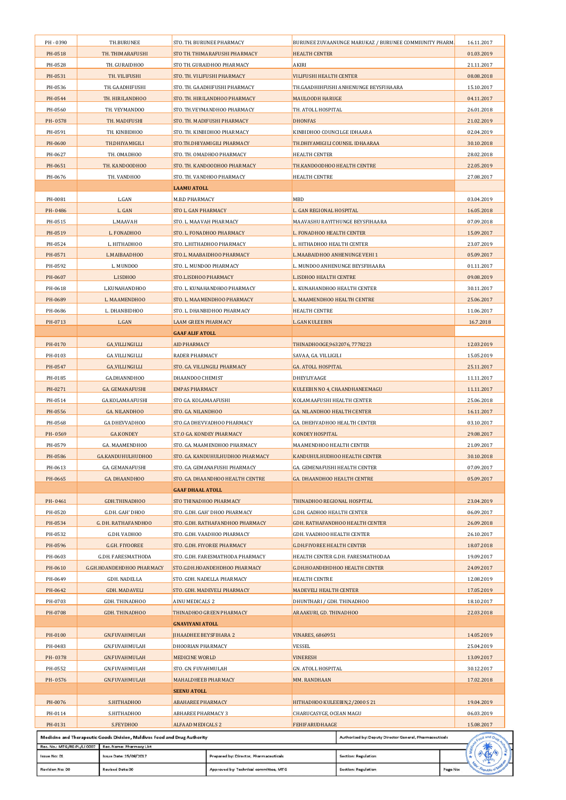| PH - 0390                   | TH.BURUNEE                                                                                            |                                                       | STO. TH. BURUNEE PHARMACY                                |                                                             | BURUNEE ZUVAANUNGE MARUKAZ / BURUNEE COMMIUNITY PHARM.  |          | 16.11.2017               |
|-----------------------------|-------------------------------------------------------------------------------------------------------|-------------------------------------------------------|----------------------------------------------------------|-------------------------------------------------------------|---------------------------------------------------------|----------|--------------------------|
| PH-0518                     | TH. THIMARAFUSHI                                                                                      |                                                       | STO TH. THIMARAFUSHI PHARMACY                            | <b>HEALTH CENTER</b>                                        |                                                         |          | 01.03.2019               |
| PH-0528                     | TH. GURAIDHOO                                                                                         |                                                       | STO TH. GURAIDHOO PHARMACY                               | <b>AKIRI</b>                                                |                                                         |          | 21.11.2017               |
| PH-0531                     | TH. VILIFUSHI                                                                                         |                                                       | STO. TH. VILIFUSHI PHARMACY                              | <b>VILIFUSHI HEALTH CENTER</b>                              |                                                         |          | 08.08.2018               |
| PH-0536                     | TH. GAADHIFUSHI                                                                                       |                                                       | STO. TH. GAADHIFUSHI PHARMACY                            |                                                             | TH.GAADHIHFUSHI ANHENUNGE BEYSFIHAARA                   |          | 15.10.2017               |
| PH-0544                     | TH. HIRILANDHOO                                                                                       |                                                       | STO. TH. HIRILANDHOO PHARMACY                            | <b>MAULOODH HARUGE</b>                                      |                                                         |          | 04.11.2017               |
| PH-0560                     | TH. VEYMANDOO                                                                                         |                                                       | STO. TH.VEYMANDHOO PHARMACY                              | TH. ATOLL HOSPITAL                                          |                                                         |          | 26.01.2018               |
| PH-0578                     | TH. MADIFUSHI                                                                                         |                                                       | STO. TH. MADIFUSHI PHARMACY                              | <b>DHONFAS</b>                                              |                                                         |          | 21.02.2019               |
| PH-0591                     | TH. KINBIDHOO                                                                                         |                                                       | STO. TH. KINBIDHOO PHARMACY                              | KINBIDHOO COUNCILGE IDHAARA                                 |                                                         |          | 02.04.2019               |
| PH-0600<br>PH-0627          | TH.DHIYAMIGILI<br>TH. OMADHOO                                                                         |                                                       | STO.TH.DHIYAMIGILI PHARMACY<br>STO. TH. OMADHOO PHARMACY | <b>HEALTH CENTER</b>                                        | TH.DHIYAMIGILI COUNSIL IDHAARAA                         |          | 30.10.2018<br>28.02.2018 |
| PH-0651                     | TH. KANDOODHOO                                                                                        |                                                       | STO. TH. KANDOODHOO PHARMACY                             |                                                             | TH.KANDOODHOO HEALTH CENTRE                             |          | 22.05.2019               |
| PH-0676                     | TH. VANDHOO                                                                                           |                                                       | STO. TH. VANDHOO PHARMACY                                | <b>HEALTH CENTRE</b>                                        |                                                         |          | 27.08.2017               |
|                             |                                                                                                       | <b>LAAMU ATOLL</b>                                    |                                                          |                                                             |                                                         |          |                          |
| PH-0081                     | L.GAN                                                                                                 | M.B.D PHARMACY                                        |                                                          | <b>MBD</b>                                                  |                                                         |          | 03.04.2019               |
| PH-0486                     | L. GAN                                                                                                | STO L. GAN PHARMACY                                   |                                                          | L. GAN REGIONAL HOSPITAL                                    |                                                         |          | 16.05.2018               |
| PH-0515                     | L.MAAVAH                                                                                              |                                                       | STO. L. MAAVAH PHARMACY                                  |                                                             | MAAVASHU RAYITHUNGE BEYSFIHAARA                         |          | 07.09.2018               |
| PH-0519                     | L. FONADHOO                                                                                           |                                                       | STO. L. FONADHOO PHARMACY                                | L. FONADHOO HEALTH CENTER                                   |                                                         |          | 15.09.2017               |
| PH-0524                     | L. HITHADHOO                                                                                          |                                                       | STO. L.HITHADHOO PHARMACY                                | L. HITHADHOO HEALTH CENTER                                  |                                                         |          | 23.07.2019               |
| PH-0571                     | L.MAIBAADHOO                                                                                          |                                                       | STO.L. MAABAIDHOO PHARMACY                               |                                                             | L.MAABAIDHOO ANHENUNGE VEHI 1                           |          | 05.09.2017               |
| PH-0592                     | L. MUNDOO                                                                                             |                                                       | STO. L. MUNDOO PHARMACY                                  |                                                             | L. MUNDOO ANHENUNGE BEYSFIHAARA                         |          | 01.11.2017               |
| PH-0607                     | L.ISDHOO                                                                                              | STO.L.ISDHOO PHARMACY                                 |                                                          | <b>LISDHOO HEALTH CENTRE</b>                                |                                                         |          | 09.08.2019               |
| PH-0618                     | L.KUNAHANDHOO                                                                                         |                                                       | STO. L. KUNAHANDHOO PHARMACY                             |                                                             | L. KUNAHANDHOO HEALTH CENTER                            |          | 30.11.2017               |
| PH-0689                     | L. MAAMENDHOO                                                                                         |                                                       | STO. L. MAAMENDHOO PHARMACY                              | L. MAAMENDHOO HEALTH CENTRE                                 |                                                         |          | 25.06.2017               |
| PH-0686                     | L. DHANBIDHOO                                                                                         |                                                       | STO. L. DHANBIDHOO PHARMACY                              | <b>HEALTH CENTRE</b>                                        |                                                         |          | 11.06.2017               |
| PH-0713                     | L.GAN                                                                                                 | <b>LAAM GREEN PHARMACY</b>                            |                                                          | <b>L.GAN KULEEBIN</b>                                       |                                                         |          | 16.7.2018                |
|                             |                                                                                                       | <b>GAAF ALIF ATOLL</b>                                |                                                          |                                                             |                                                         |          |                          |
| PH-0170                     | GA, VILLINGILLI                                                                                       | <b>AID PHARMACY</b>                                   |                                                          | THINADHOOGE, 9632076, 7778223                               |                                                         |          | 12.03.2019               |
| PH-0103                     | GA.VILLINGILLI                                                                                        | RADER PHARMACY                                        |                                                          | SAVAA, GA. VILLIGILI                                        |                                                         |          | 15.05.2019               |
| PH-0547                     | GA, VILLINGILLI                                                                                       |                                                       | STO. GA. VILLINGILI PHARMACY                             | <b>GA. ATOLL HOSPITAL</b>                                   |                                                         |          | 25.11.2017               |
| PH-0185                     | GA.DHANNDHOO                                                                                          | DHAANDOO CHEMIST                                      |                                                          | DHEYLIYAAGE                                                 |                                                         |          | 11.11.2017               |
| PH-0271                     | GA. GEMANAFUSHI                                                                                       | <b>EMPAS PHARMACY</b>                                 |                                                          |                                                             | KULEEBIN NO 4, CHAANDHANEEMAGU                          |          | 11.11.2017               |
| PH-0514<br>PH-0556          | GA.KOLAMAAFUSHI                                                                                       | STO GA. KOLAMAAFUSHI                                  |                                                          | KOLAMAAFUSHI HEALTH CENTER                                  |                                                         |          | 25.06.2018               |
|                             | GA. NILANDHOO<br>GA DHEVVADHOO                                                                        | STO. GA. NILANDHOO                                    | STO.GA DHEVVADHOO PHARMACY                               | GA. NILANDHOO HEALTH CENTER<br>GA. DHEHVADHOO HEALTH CENTER |                                                         |          | 16.11.2017<br>03.10.2017 |
| PH-0568<br>PH-0569          | <b>GA.KONDEY</b>                                                                                      |                                                       | S.T.O GA. KONDEY PHARMACY                                | <b>KONDEY HOSPITAL</b>                                      |                                                         |          | 29.08.2017               |
| PH-0579                     | GA. MAAMENDHOO                                                                                        |                                                       | STO. GA. MAAMENDHOO PHARMACY                             | MAAMENDHOO HEALTH CENTER                                    |                                                         |          | 21.09.2017               |
| PH-0586                     | GA.KANDUHULHUDHOO                                                                                     |                                                       | STO. GA. KANDUHULHUDHOO PHARMACY                         |                                                             | KANDUHULHUDHOO HEALTH CENTER                            |          | 30.10.2018               |
| PH-0613                     | GA. GEMANAFUSHI                                                                                       |                                                       | STO. GA. GEMANAFUSHI PHARMACY                            |                                                             | GA. GEMENAFUSHI HEALTH CENTER                           |          | 07.09.2017               |
| PH-0665                     | GA. DHAANDHOO                                                                                         |                                                       | STO. GA. DHAANDHOO HEALTH CENTRE                         | <b>GA. DHAANDHOO HEALTH CENTRE</b>                          |                                                         |          | 05.09.2017               |
|                             |                                                                                                       | <b>GAAF DHAAL ATOLL</b>                               |                                                          |                                                             |                                                         |          |                          |
| PH-0461                     | GDH.THINADHOO                                                                                         |                                                       | STO THINADHOO PHARMACY                                   | THINADHOO REGIONAL HOSPITAL                                 |                                                         |          | 23.04.2019               |
| PH-0520                     | G.DH. GAH' DHOO                                                                                       |                                                       | STO. G.DH. GAH' DHOO PHARMACY                            | G.DH. GADHOO HEALTH CENTER                                  |                                                         |          | 06.09.2017               |
| PH-0534                     | G. DH. RATHAFANDHOO                                                                                   |                                                       | STO. G.DH. RATHAFANDHOO PHARMACY                         |                                                             | GDH. RATHAFANDHOO HEALTH CENTER                         |          | 26.09.2018               |
| PH-0532                     | G.DH. VADHOO                                                                                          |                                                       | STO. G.DH. VAADHOO PHARMACY                              | GDH. VAADHOO HEALTH CENTER                                  |                                                         |          | 26.10.2017               |
| PH-0596                     | <b>G.GH. FIYOOREE</b>                                                                                 |                                                       | STO. G.DH. FIYOREE PHARMACY                              | <b>G.DH.FIYOREE HEALTH CENTER</b>                           |                                                         |          | 18.07.2018               |
| PH-0603                     | G.DH. FARESMATHODA                                                                                    |                                                       | STO. G.DH. FARESMATHODA PHARMACY                         |                                                             | HEALTH CENTER G.DH. FARESMATHODAA                       |          | 19.09.2017               |
| PH-0610                     | G.GH.HOANDEHDHOO PHARMACY                                                                             |                                                       | STO.G.DH.HOANDEHDHOO PHARMACY                            |                                                             | <b>G.DH.HOANDEHDHOO HEALTH CENTER</b>                   |          | 24.09.2017               |
| PH-0649                     | <b>GDH. NADELLA</b>                                                                                   |                                                       | STO. GDH. NADELLA PHARMACY                               | <b>HEALTH CENTRE</b>                                        |                                                         |          | 12.08.2019               |
| PH-0642                     | GDH. MADAVELI                                                                                         |                                                       | STO. GDH. MADEVELI PHARMACY                              | <b>MADEVELI HEALTH CENTER</b>                               |                                                         |          | 17.05.2019               |
| PH-0703                     | GDH. THINADHOO                                                                                        | AINU MEDICALS 2                                       |                                                          | DHUNTHARI / GDH. THINADHOO                                  |                                                         |          | 18.10.2017               |
| PH-0708                     | GDH. THINADHOO                                                                                        |                                                       | THINADHOO GREEN PHARMACY                                 | ARAAKURI, GD. THINADHOO                                     |                                                         |          | 22.03.2018               |
|                             |                                                                                                       | <b>GNAVIYANI ATOLL</b>                                |                                                          |                                                             |                                                         |          |                          |
| PH-0100                     | <b>GN.FUVAHMULAH</b>                                                                                  | <b>JIHAADHEE BEYSFIHARA 2</b>                         |                                                          | <b>VINARES, 6860951</b>                                     |                                                         |          | 14.05.2019               |
| PH-0483                     | GN.FUVAHMULAH                                                                                         | DHOORIAN PHARMACY                                     |                                                          | <b>VESSEL</b>                                               |                                                         |          | 25.04.2019               |
| PH-0378                     | GN.FUVAHMULAH                                                                                         | MEDICINE WORLD                                        |                                                          | <b>VINERESH</b>                                             |                                                         |          | 13.09.2017               |
| PH-0552                     | GN.FUVAHMULAH                                                                                         | STO. GN. FUVAHMULAH                                   |                                                          | <b>GN. ATOLL HOSPITAL</b>                                   |                                                         |          | 30.12.2017               |
| PH-0576                     | GN.FUVAHMULAH                                                                                         | MAHALDHEEB PHARMACY                                   |                                                          | MM. RANDHAAN                                                |                                                         |          | 17.02.2018               |
|                             |                                                                                                       | <b>SEENU ATOLL</b>                                    |                                                          |                                                             |                                                         |          |                          |
| PH-0076                     | S.HITHADHOO                                                                                           | <b>ABAHAREE PHARMACY</b>                              |                                                          |                                                             | HITHADHOO KULEEBIN, 2/2000 S 21                         |          | 19.04.2019               |
| PH-0114<br>PH-0131          | S.HITHADHOO<br>S.FEYDHOO                                                                              | <b>ABHAREE PHARMACY 3</b><br><b>ALFAAD MEDICALS 2</b> |                                                          | CHARUCASYGE, OCEAN MAGU<br><b>FEHIFARUDHAAGE</b>            |                                                         |          | 06.03.2019<br>15.08.2017 |
|                             |                                                                                                       |                                                       |                                                          |                                                             |                                                         |          | od and Dr                |
| Rec. No.: MTG/RE-PL/LI 0007 | Medicine and Therapeutic Goods Division, Maldives Food and Drug Authority<br>Rec. Name: Pharmacy List |                                                       |                                                          |                                                             | Authorized by: Deputy Director General, Pharmaceuticals |          |                          |
| Issue No: 01                | Issue Date: 15/08/2017                                                                                |                                                       | Prepared by: Director, Pharmaceuticals                   |                                                             | Section: Regulation                                     |          |                          |
| Revision No: 00             | Revised Date: 00                                                                                      |                                                       | Approved by: Technical committee, MTG                    |                                                             | Section: Regulation                                     | Page No: |                          |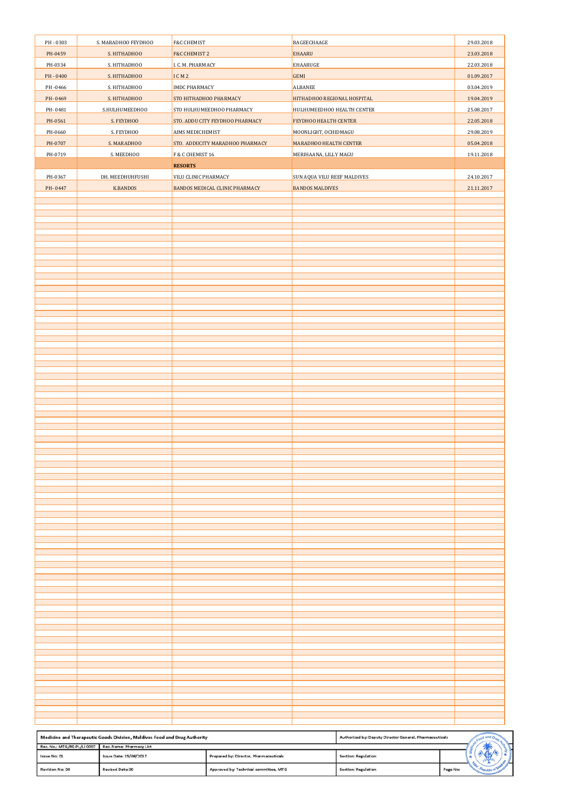| PH - 0303    | S. MARADHOO FEYDHOO                                                       | <b>F&amp;C CHEMIST</b>      |                                        | <b>BAGEECHAAGE</b>            |                                                         | 29.03.2018  |
|--------------|---------------------------------------------------------------------------|-----------------------------|----------------------------------------|-------------------------------|---------------------------------------------------------|-------------|
| PH-0459      | S. HITHADHOO                                                              | <b>F&amp;C CHEMIST 2</b>    |                                        | <b>EHAARU</b>                 |                                                         | 23.03.2018  |
| PH-0334      | S. HITHADHOO                                                              | I. C. M. PHARMACY           |                                        | EHAARUGE                      |                                                         | 22.03.2018  |
| PH - 0400    | S. HITHADHOO                                                              | ICM <sub>2</sub>            |                                        | <b>GEMI</b>                   |                                                         | 01.09.2017  |
| PH-0466      | S. HITHADHOO                                                              | <b>IMDC PHARMACY</b>        |                                        | <b>ALBANEE</b>                |                                                         | 03.04.2019  |
| PH-0469      | S. HITHADHOO                                                              |                             | STO HITHADHOO PHARMACY                 | HITHADHOO REGIONAL HOSPITAL   |                                                         | 19.04.2019  |
| PH-0481      | S.HULHUMEEDHOO                                                            |                             | STO HULHUMEEDHOO PHARMACY              | HULHUMEEDHOO HEALTH CENTER    |                                                         | 25.08.2017  |
| PH-0561      | S. FEYDHOO                                                                |                             | STO. ADDU CITY FEYDHOO PHARMACY        | FEYDHOO HEALTH CENTER         |                                                         | 22.05.2018  |
| PH-0660      | S. FEYDHOO                                                                | AIMS MEDICHEMIST            |                                        | MOONLIGHT, OCHIDMAGU          |                                                         | 29.08.2019  |
| PH-0707      | S. MARADHOO                                                               |                             | STO. ADDUCITY MARADHOO PHARMACY        | <b>MARADHOO HEALTH CENTER</b> |                                                         | 05.04.2018  |
| PH-0719      | S. MEEDHOO                                                                | F & C CHEMIST 16            |                                        | MERIHAANA, LILLY MAGU         |                                                         | 19.11.2018  |
|              |                                                                           | <b>RESORTS</b>              |                                        |                               |                                                         |             |
| PH-0367      | DH. MEEDHUHFUSHI                                                          | <b>VILU CLINIC PHARMACY</b> |                                        | SUN AQUA VILU REEF MALDIVES   |                                                         | 24.10.2017  |
| PH-0447      | <b>K.BANDOS</b>                                                           |                             | BANDOS MEDICAL CLINIC PHARMACY         | <b>BANDOS MALDIVES</b>        |                                                         | 21.11.2017  |
|              |                                                                           |                             |                                        |                               |                                                         |             |
|              |                                                                           |                             |                                        |                               |                                                         |             |
|              |                                                                           |                             |                                        |                               |                                                         |             |
|              |                                                                           |                             |                                        |                               |                                                         |             |
|              |                                                                           |                             |                                        |                               |                                                         |             |
|              |                                                                           |                             |                                        |                               |                                                         |             |
|              |                                                                           |                             |                                        |                               |                                                         |             |
|              |                                                                           |                             |                                        |                               |                                                         |             |
|              |                                                                           |                             |                                        |                               |                                                         |             |
|              |                                                                           |                             |                                        |                               |                                                         |             |
|              |                                                                           |                             |                                        |                               |                                                         |             |
|              |                                                                           |                             |                                        |                               |                                                         |             |
|              |                                                                           |                             |                                        |                               |                                                         |             |
|              |                                                                           |                             |                                        |                               |                                                         |             |
|              |                                                                           |                             |                                        |                               |                                                         |             |
|              |                                                                           |                             |                                        |                               |                                                         |             |
|              |                                                                           |                             |                                        |                               |                                                         |             |
|              |                                                                           |                             |                                        |                               |                                                         |             |
|              |                                                                           |                             |                                        |                               |                                                         |             |
|              |                                                                           |                             |                                        |                               |                                                         |             |
|              |                                                                           |                             |                                        |                               |                                                         |             |
|              |                                                                           |                             |                                        |                               |                                                         |             |
|              |                                                                           |                             |                                        |                               |                                                         |             |
|              |                                                                           |                             |                                        |                               |                                                         |             |
|              |                                                                           |                             |                                        |                               |                                                         |             |
|              |                                                                           |                             |                                        |                               |                                                         |             |
|              |                                                                           |                             |                                        |                               |                                                         |             |
|              |                                                                           |                             |                                        |                               |                                                         |             |
|              |                                                                           |                             |                                        |                               |                                                         |             |
|              |                                                                           |                             |                                        |                               |                                                         |             |
|              |                                                                           |                             |                                        |                               |                                                         |             |
|              |                                                                           |                             |                                        |                               |                                                         |             |
|              |                                                                           |                             |                                        |                               |                                                         |             |
|              |                                                                           |                             |                                        |                               |                                                         |             |
|              |                                                                           |                             |                                        |                               |                                                         |             |
|              |                                                                           |                             |                                        |                               |                                                         |             |
|              |                                                                           |                             |                                        |                               |                                                         |             |
|              |                                                                           |                             |                                        |                               |                                                         |             |
|              |                                                                           |                             |                                        |                               |                                                         |             |
|              |                                                                           |                             |                                        |                               |                                                         |             |
|              |                                                                           |                             |                                        |                               |                                                         |             |
|              |                                                                           |                             |                                        |                               |                                                         |             |
|              |                                                                           |                             |                                        |                               |                                                         |             |
|              |                                                                           |                             |                                        |                               |                                                         |             |
|              |                                                                           |                             |                                        |                               |                                                         |             |
|              |                                                                           |                             |                                        |                               |                                                         |             |
|              |                                                                           |                             |                                        |                               |                                                         |             |
|              |                                                                           |                             |                                        |                               |                                                         |             |
|              |                                                                           |                             |                                        |                               |                                                         |             |
|              | Medicine and Therapeutic Goods Division, Maldives Food and Drug Authority |                             |                                        |                               | Authorized by: Deputy Director General, Pharmaceuticals | cood and Dr |
|              | Rec. No.: MTG/RE-PL/LI 0007 Rec. Name: Pharmacy List                      |                             |                                        |                               |                                                         |             |
| Issue No: 01 | Issue Date: 15/08/2017                                                    |                             | Prepared by: Director, Pharmaceuticals |                               | Section: Regulation                                     |             |

Approved by: Technical committee, MTG

Revision No: 00

Revised Date: 00

Page No:

Section: Regulation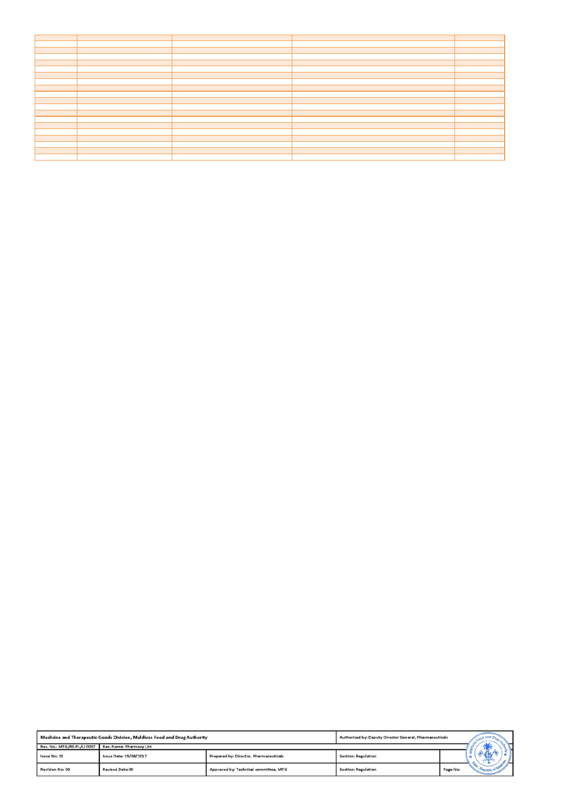| Medicine and Therapeutic Goods Division, Maldives Food and Drug Authority |                          |                                        | Authorized by: Deputy Director General, Pharmaceuticals |                                           |
|---------------------------------------------------------------------------|--------------------------|----------------------------------------|---------------------------------------------------------|-------------------------------------------|
| Rec. No.: MTG/RE-PL/LI 0007                                               | Rec. Name: Pharmacy List |                                        |                                                         |                                           |
| Issue No: 01                                                              | Issue Date: 15/08/2017   | Prepared by: Director, Pharmaceuticals | Section: Regulation                                     |                                           |
| Revision No: 00                                                           | Revised Date: 00         | Approved by: Technical committee, MTG  | Section: Regulation                                     | Page No:<br><b><i><u>Vepublic</u></i></b> |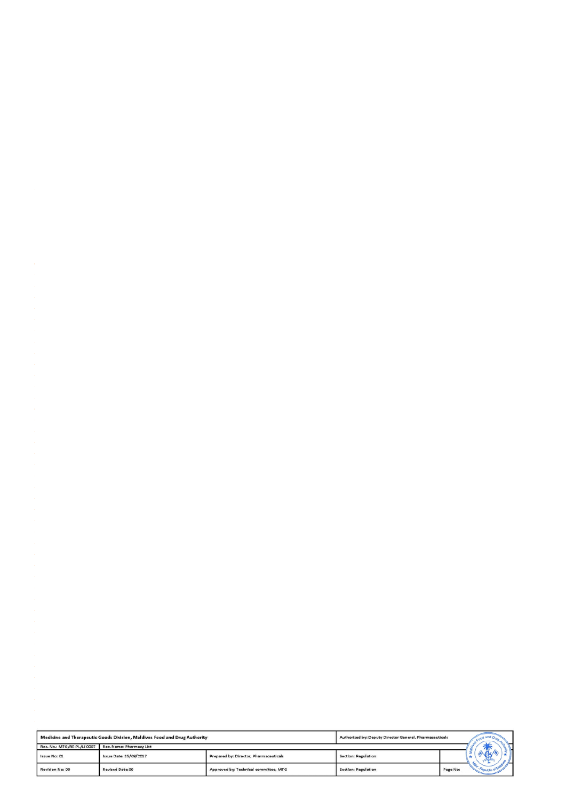|                             | Medicine and Therapeutic Goods Division, Maldives Food and Drug Authority | Authorized by: Deputy Director General, Pharmaceuticals | $A$ and             |                                           |
|-----------------------------|---------------------------------------------------------------------------|---------------------------------------------------------|---------------------|-------------------------------------------|
| Rec. No.: MTG/RE-PL/LI 0007 | Rec. Name: Pharmacy List                                                  |                                                         |                     |                                           |
| Issue No: 01                | Issue Date: 15/08/2017                                                    | Prepared by: Director, Pharmaceuticals                  | Section: Regulation |                                           |
| Revision No: 00             | Revised Date: 00                                                          | Approved by: Technical committee, MTG                   | Section: Regulation | Page No:<br><b><i><u>Vepublic</u></i></b> |

 $\mathcal{H}^{\text{c}}_{\text{c}}$  and

 $\hat{\boldsymbol{\theta}}$  $\frac{1}{2}$ 

ý  $\hat{\boldsymbol{\beta}}$  $\hat{\boldsymbol{\beta}}$ l,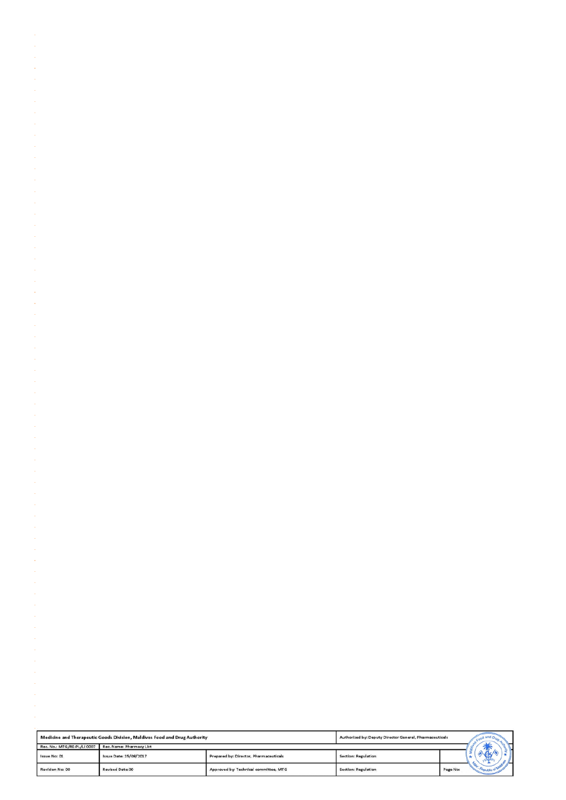| Medicine and Therapeutic Goods Division, Maldives Food and Drug Authority |                          |                                        | Authorized by: Deputy Director General, Pharmaceuticals |                             |
|---------------------------------------------------------------------------|--------------------------|----------------------------------------|---------------------------------------------------------|-----------------------------|
| Rec. No.: MTG/RE-PL/LI 0007                                               | Rec. Name: Pharmacy List |                                        |                                                         |                             |
| Issue No: 01                                                              | Issue Date: 15/08/2017   | Prepared by: Director, Pharmaceuticals | Section: Regulation                                     |                             |
| Revision No: 00                                                           | Revised Date: 00         | Approved by: Technical committee, MTG  | Section: Regulation                                     | Page No:<br><b>Tepublic</b> |

医小脑性 医中性的 医皮肤的 医皮肤的 医皮肤的 医皮肤的 医皮肤的 医血管的 医血管的 医血管的 医血管的 医血管 医血管 医血管 医血管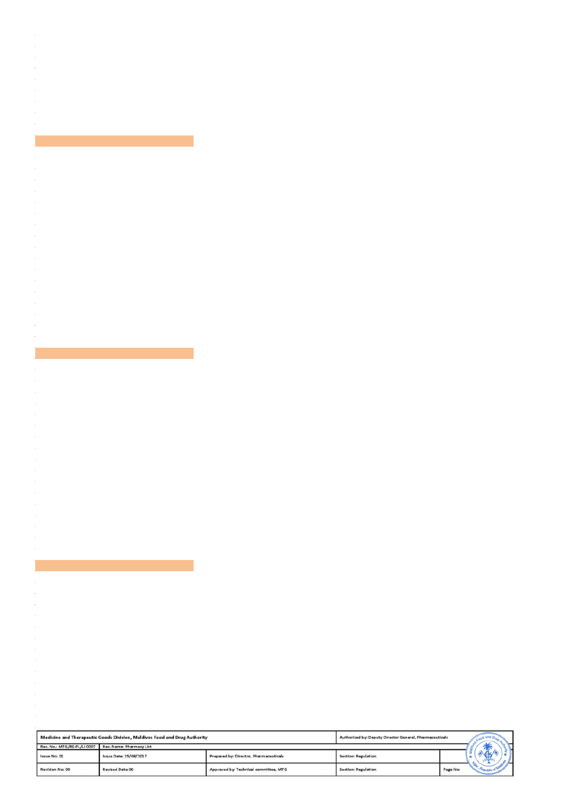## l,

- 
- 
- 
- 
- 
- 

- $\hat{\boldsymbol{\beta}}$
- $\hat{\mathcal{I}}$
- $\mathbb{R}^2$ J.
- 
- 
- 
- 
- 
- 
- 
- 
- 
- 
- 

- $\hat{\mathcal{I}}$
- $\ddot{\phantom{0}}$
- J. l,
- $\hat{\boldsymbol{\beta}}$
- l,
- 
- 
- 
- 
- 
- 
- 
- 
- 
- $\ddot{\phantom{1}}$
- $\bar{\beta}$
- l,
- 
- J.
	-
- 
- 
- 

Ï

|                             | Medicine and Therapeutic Goods Division, Maldives Food and Drug Authority | Authorized by: Deputy Director General, Pharmaceuticals |                     |          |                              |
|-----------------------------|---------------------------------------------------------------------------|---------------------------------------------------------|---------------------|----------|------------------------------|
| Rec. No.: MTG/RE-PL/LI 0007 | Rec. Name: Pharmacy List                                                  |                                                         |                     |          |                              |
| Issue No: 01                | Issue Date: 15/08/2017                                                    | Prepared by: Director, Pharmaceuticals                  | Section: Regulation |          |                              |
| Revision No: 00             | Revised Date: 00                                                          | Approved by: Technical committee, MTG                   | Section: Regulation | Page No: | <b><i><u>epublic</u></i></b> |